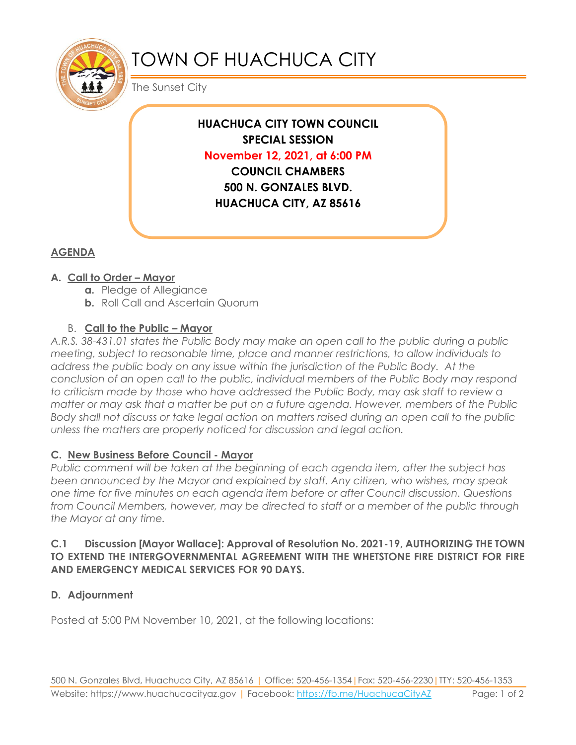

# TOWN OF HUACHUCA CITY

The Sunset City

**HUACHUCA CITY TOWN COUNCIL SPECIAL SESSION November 12, 2021, at 6:00 PM COUNCIL CHAMBERS 500 N. GONZALES BLVD. HUACHUCA CITY, AZ 85616**

## **AGENDA**

#### **A. Call to Order – Mayor**

- **a.** Pledge of Allegiance
- **b.** Roll Call and Ascertain Quorum

#### B. **Call to the Public – Mayor**

*A.R.S. 38-431.01 states the Public Body may make an open call to the public during a public meeting, subject to reasonable time, place and manner restrictions, to allow individuals to address the public body on any issue within the jurisdiction of the Public Body. At the conclusion of an open call to the public, individual members of the Public Body may respond to criticism made by those who have addressed the Public Body, may ask staff to review a matter or may ask that a matter be put on a future agenda. However, members of the Public Body shall not discuss or take legal action on matters raised during an open call to the public unless the matters are properly noticed for discussion and legal action.*

#### **C. New Business Before Council - Mayor**

*Public comment will be taken at the beginning of each agenda item, after the subject has been announced by the Mayor and explained by staff. Any citizen, who wishes, may speak one time for five minutes on each agenda item before or after Council discussion. Questions from Council Members, however, may be directed to staff or a member of the public through the Mayor at any time.* 

#### **C.1 Discussion [Mayor Wallace]: Approval of Resolution No. 2021-19, AUTHORIZING THE TOWN TO EXTEND THE INTERGOVERNMENTAL AGREEMENT WITH THE WHETSTONE FIRE DISTRICT FOR FIRE AND EMERGENCY MEDICAL SERVICES FOR 90 DAYS.**

### **D. Adjournment**

Posted at 5:00 PM November 10, 2021, at the following locations: